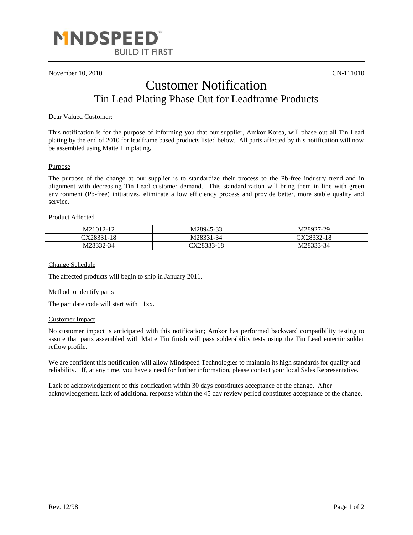

November 10, 2010 CN-111010

# Customer Notification Tin Lead Plating Phase Out for Leadframe Products

Dear Valued Customer:

This notification is for the purpose of informing you that our supplier, Amkor Korea, will phase out all Tin Lead plating by the end of 2010 for leadframe based products listed below. All parts affected by this notification will now be assembled using Matte Tin plating.

### Purpose

The purpose of the change at our supplier is to standardize their process to the Pb-free industry trend and in alignment with decreasing Tin Lead customer demand. This standardization will bring them in line with green environment (Pb-free) initiatives, eliminate a low efficiency process and provide better, more stable quality and service.

### Product Affected

| M21012-12  | M28945-33  | M28927-29  |
|------------|------------|------------|
| CX28331-18 | M28331-34  | CX28332-18 |
| M28332-34  | CX28333-18 | M28333-34  |

Change Schedule

The affected products will begin to ship in January 2011.

#### Method to identify parts

The part date code will start with 11xx.

## Customer Impact

No customer impact is anticipated with this notification; Amkor has performed backward compatibility testing to assure that parts assembled with Matte Tin finish will pass solderability tests using the Tin Lead eutectic solder reflow profile.

We are confident this notification will allow Mindspeed Technologies to maintain its high standards for quality and reliability. If, at any time, you have a need for further information, please contact your local Sales Representative.

Lack of acknowledgement of this notification within 30 days constitutes acceptance of the change. After acknowledgement, lack of additional response within the 45 day review period constitutes acceptance of the change.